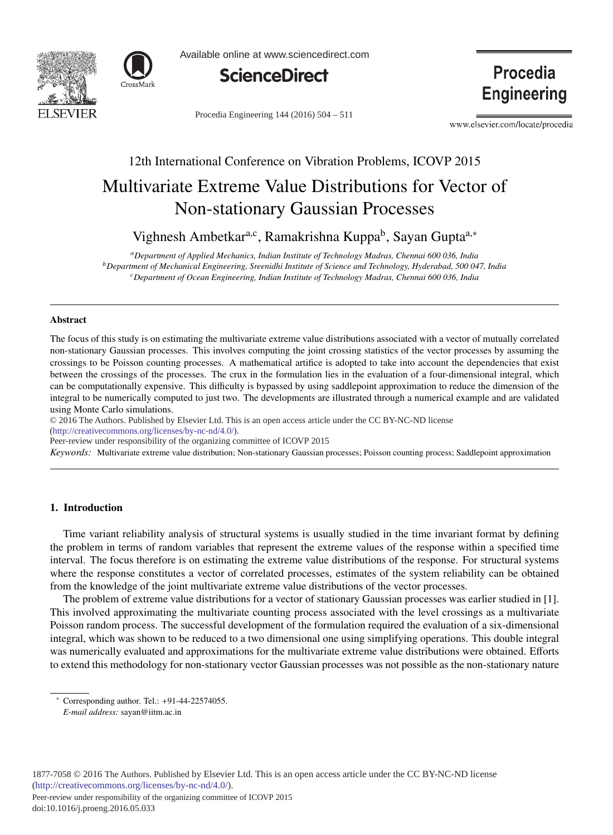



Available online at www.sciencedirect.com



Procedia Engineering 144 (2016) 504 - 511

Procedia **Engineering** 

www.elsevier.com/locate/procedia

# 12th International Conference on Vibration Problems, ICOVP 2015 Multivariate Extreme Value Distributions for Vector of Non-stationary Gaussian Processes

Vighnesh Ambetkar<sup>a,c</sup>, Ramakrishna Kuppa<sup>b</sup>, Sayan Gupta<sup>a,∗</sup>

*aDepartment of Applied Mechanics, Indian Institute of Technology Madras, Chennai 600 036, India bDepartment of Mechanical Engineering, Sreenidhi Institute of Science and Technology, Hyderabad, 500 047, India cDepartment of Ocean Engineering, Indian Institute of Technology Madras, Chennai 600 036, India*

# Abstract

The focus of this study is on estimating the multivariate extreme value distributions associated with a vector of mutually correlated non-stationary Gaussian processes. This involves computing the joint crossing statistics of the vector processes by assuming the crossings to be Poisson counting processes. A mathematical artifice is adopted to take into account the dependencies that exist between the crossings of the processes. The crux in the formulation lies in the evaluation of a four-dimensional integral, which can be computationally expensive. This difficulty is bypassed by using saddlepoint approximation to reduce the dimension of the integral to be numerically computed to just two. The developments are illustrated through a numerical example and are validated using Monte Carlo simulations.

c 2016 The Authors. Published by Elsevier Ltd. © 2016 The Authors. Published by Elsevier Ltd. This is an open access article under the CC BY-NC-ND license

 $(\text{http://creativecommons.org/licenses/by-nc-nd/4.0/}).$ 

Peer-review under responsibility of the organizing committee of ICOVP 2015

*Keywords:* Multivariate extreme value distribution; Non-stationary Gaussian processes; Poisson counting process; Saddlepoint approximation

# 1. Introduction

Time variant reliability analysis of structural systems is usually studied in the time invariant format by defining the problem in terms of random variables that represent the extreme values of the response within a specified time interval. The focus therefore is on estimating the extreme value distributions of the response. For structural systems where the response constitutes a vector of correlated processes, estimates of the system reliability can be obtained from the knowledge of the joint multivariate extreme value distributions of the vector processes.

The problem of extreme value distributions for a vector of stationary Gaussian processes was earlier studied in [1]. This involved approximating the multivariate counting process associated with the level crossings as a multivariate Poisson random process. The successful development of the formulation required the evaluation of a six-dimensional integral, which was shown to be reduced to a two dimensional one using simplifying operations. This double integral was numerically evaluated and approximations for the multivariate extreme value distributions were obtained. Efforts to extend this methodology for non-stationary vector Gaussian processes was not possible as the non-stationary nature

<sup>∗</sup> Corresponding author. Tel.: +91-44-22574055. *E-mail address:* sayan@iitm.ac.in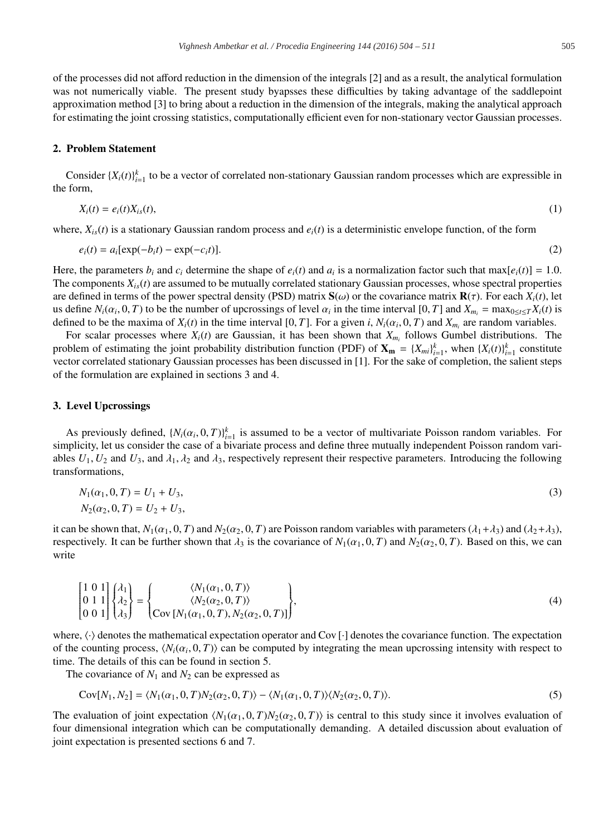of the processes did not afford reduction in the dimension of the integrals [2] and as a result, the analytical formulation was not numerically viable. The present study byapsses these difficulties by taking advantage of the saddlepoint approximation method [3] to bring about a reduction in the dimension of the integrals, making the analytical approach for estimating the joint crossing statistics, computationally efficient even for non-stationary vector Gaussian processes.

# 2. Problem Statement

Consider  ${X_i(t)}_{i=1}^k$  to be a vector of correlated non-stationary Gaussian random processes which are expressible in the form,

$$
X_i(t) = e_i(t)X_{is}(t),
$$
\n<sup>(1)</sup>

where,  $X_{i,s}(t)$  is a stationary Gaussian random process and  $e_i(t)$  is a deterministic envelope function, of the form

$$
e_i(t) = a_i[\exp(-b_i t) - \exp(-c_i t)].
$$
\n(2)

Here, the parameters  $b_i$  and  $c_i$  determine the shape of  $e_i(t)$  and  $a_i$  is a normalization factor such that max[ $e_i(t)$ ] = 1.0. The components  $X_{i,s}(t)$  are assumed to be mutually correlated stationary Gaussian processes, whose spectral properties are defined in terms of the power spectral density (PSD) matrix  $S(\omega)$  or the covariance matrix  $R(\tau)$ . For each  $X_i(t)$ , let us define  $N_i(\alpha_i, 0, T)$  to be the number of upcrossings of level  $\alpha_i$  in the time interval [0, *T*] and  $X_{m_i} = \max_{0 \le i \le T} X_i(t)$  is defined to be the maxima of  $X_i(t)$  in the time interval [0, *T*]. For a given *i*,  $N_i(\alpha_i, 0, T)$  and  $X_{m_i}$  are random variables.

For scalar processes where  $X_i(t)$  are Gaussian, it has been shown that  $X_{m_i}$  follows Gumbel distributions. The problem of estimating the joint probability distribution function (PDF) of  $\mathbf{X}_{\mathbf{m}} = \{X_{mi}\}_{i=1}^k$ , when  $\{X_i(t)\}_{i=1}^k$  constitute vector correlated stationary Gaussian processes has been discussed in [1]. For the sake of completion, the salient steps of the formulation are explained in sections 3 and 4.

### 3. Level Upcrossings

As previously defined,  $\{N_i(\alpha_i, 0, T)\}_{i=1}^k$  is assumed to be a vector of multivariate Poisson random variables. For simplicity, let us consider the case of a bivariate process and define three mutually independent Poisson random variables  $U_1, U_2$  and  $U_3$ , and  $\lambda_1, \lambda_2$  and  $\lambda_3$ , respectively represent their respective parameters. Introducing the following transformations,

$$
N_1(\alpha_1, 0, T) = U_1 + U_3,
$$
  
\n
$$
N_2(\alpha_2, 0, T) = U_2 + U_3,
$$
\n(3)

it can be shown that,  $N_1(\alpha_1, 0, T)$  and  $N_2(\alpha_2, 0, T)$  are Poisson random variables with parameters  $(\lambda_1 + \lambda_3)$  and  $(\lambda_2 + \lambda_3)$ , respectively. It can be further shown that  $\lambda_3$  is the covariance of  $N_1(\alpha_1, 0, T)$  and  $N_2(\alpha_2, 0, T)$ . Based on this, we can write

$$
\begin{bmatrix} 1 & 0 & 1 \ 0 & 1 & 1 \ 0 & 0 & 1 \end{bmatrix} \begin{Bmatrix} \lambda_1 \\ \lambda_2 \\ \lambda_3 \end{Bmatrix} = \begin{Bmatrix} \langle N_1(\alpha_1, 0, T) \rangle \\ \langle N_2(\alpha_2, 0, T) \rangle \\ \text{Cov} \left[ N_1(\alpha_1, 0, T), N_2(\alpha_2, 0, T) \right] \end{Bmatrix},
$$
\n(4)

where,  $\langle \cdot \rangle$  denotes the mathematical expectation operator and Cov [ $\cdot$ ] denotes the covariance function. The expectation of the counting process,  $\langle N_i(\alpha_i, 0, T) \rangle$  can be computed by integrating the mean upcrossing intensity with respect to time. The details of this can be found in section 5.

The covariance of  $N_1$  and  $N_2$  can be expressed as

$$
Cov[N_1, N_2] = \langle N_1(\alpha_1, 0, T)N_2(\alpha_2, 0, T) \rangle - \langle N_1(\alpha_1, 0, T) \rangle \langle N_2(\alpha_2, 0, T) \rangle.
$$
\n
$$
(5)
$$

The evaluation of joint expectation  $\langle N_1(\alpha_1, 0, T)N_2(\alpha_2, 0, T) \rangle$  is central to this study since it involves evaluation of four dimensional integration which can be computationally demanding. A detailed discussion about evaluation of joint expectation is presented sections 6 and 7.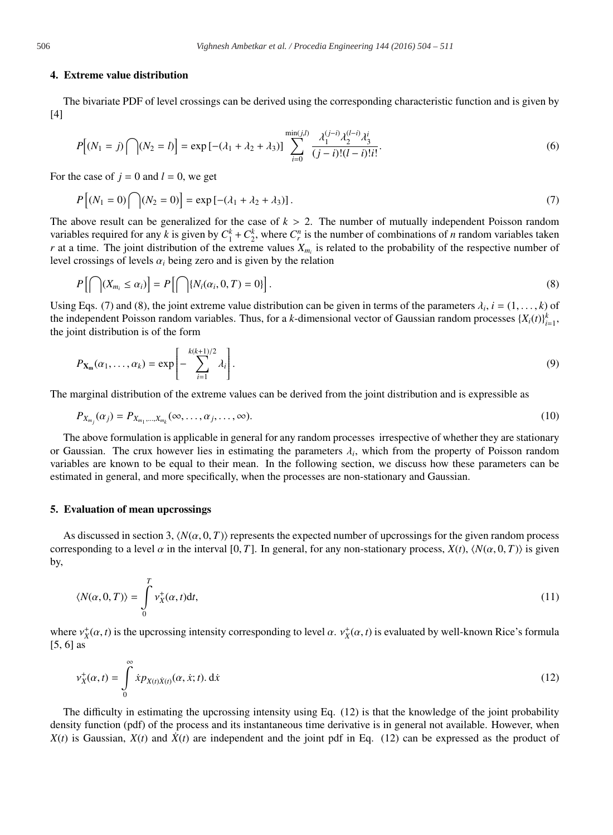#### 4. Extreme value distribution

The bivariate PDF of level crossings can be derived using the corresponding characteristic function and is given by [4]

$$
P[(N_1 = j) \cap (N_2 = l)] = \exp[-(\lambda_1 + \lambda_2 + \lambda_3)] \sum_{i=0}^{\min(j,l)} \frac{\lambda_1^{(j-i)} \lambda_2^{(l-i)} \lambda_3^i}{(j-i)!(l-i)!i!}.
$$
 (6)

For the case of  $j = 0$  and  $l = 0$ , we get

$$
P[(N_1 = 0) \cap (N_2 = 0)] = \exp[-(\lambda_1 + \lambda_2 + \lambda_3)].
$$
\n(7)

The above result can be generalized for the case of  $k > 2$ . The number of mutually independent Poisson random variables required for any *k* is given by  $C_1^k + C_2^k$ , where  $C_r^n$  is the number of combinations of *n* random variables taken *r* at a time. The joint distribution of the extreme values  $X_{m_i}$  is related to the probability of the respective number of level crossings of levels  $\alpha_i$  being zero and is given by the relation

$$
P\left[\bigcap (X_{m_i} \leq \alpha_i)\right] = P\left[\bigcap \{N_i(\alpha_i, 0, T) = 0\}\right].
$$
\n(8)

Using Eqs. (7) and (8), the joint extreme value distribution can be given in terms of the parameters  $\lambda_i$ ,  $i = (1, \ldots, k)$  of the independent Poisson random variables. Thus, for a *k*-dimensional vector of Gaussian random processes  $\{X_i(t)\}_{i=1}^k$ , the joint distribution is of the form

$$
P_{\mathbf{X}_{\mathbf{m}}}(\alpha_1,\ldots,\alpha_k) = \exp\left[-\sum_{i=1}^{k(k+1)/2} \lambda_i\right].
$$
\n(9)

The marginal distribution of the extreme values can be derived from the joint distribution and is expressible as

$$
P_{X_{m_j}}(\alpha_j) = P_{X_{m_1},...,X_{m_k}}(\infty,...,\alpha_j,...,\infty).
$$
\n(10)

The above formulation is applicable in general for any random processes irrespective of whether they are stationary or Gaussian. The crux however lies in estimating the parameters  $\lambda_i$ , which from the property of Poisson random variables are known to be equal to their mean. In the following section, we discuss how these parameters can be estimated in general, and more specifically, when the processes are non-stationary and Gaussian.

#### 5. Evaluation of mean upcrossings

As discussed in section 3,  $\langle N(\alpha, 0, T) \rangle$  represents the expected number of upcrossings for the given random process corresponding to a level  $\alpha$  in the interval [0, *T*]. In general, for any non-stationary process,  $X(t)$ ,  $\langle N(\alpha, 0, T) \rangle$  is given by,

$$
\langle N(\alpha, 0, T) \rangle = \int_{0}^{T} v_X^{+}(\alpha, t) dt,
$$
\n(11)

where  $v_X^+(\alpha, t)$  is the upcrossing intensity corresponding to level  $\alpha$ .  $v_X^+(\alpha, t)$  is evaluated by well-known Rice's formula [5, 6] as

$$
\mathbf{v}_X^+(\alpha, t) = \int_0^\infty \dot{x} p_{X(t)} \dot{x}_{(t)}(\alpha, \dot{x}; t). \, \mathrm{d}\dot{x} \tag{12}
$$

The difficulty in estimating the upcrossing intensity using Eq. (12) is that the knowledge of the joint probability density function (pdf) of the process and its instantaneous time derivative is in general not available. However, when  $X(t)$  is Gaussian,  $X(t)$  and  $\dot{X}(t)$  are independent and the joint pdf in Eq. (12) can be expressed as the product of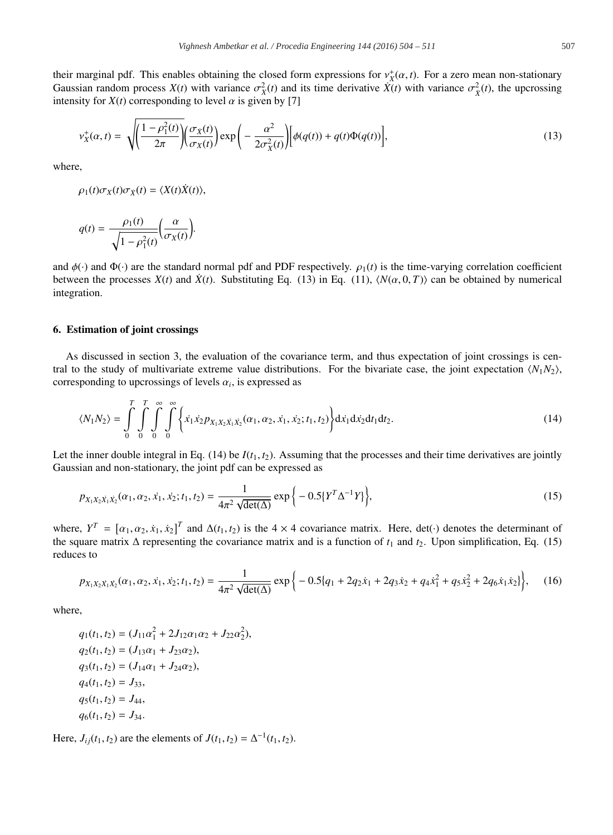their marginal pdf. This enables obtaining the closed form expressions for  $v_X^+(\alpha, t)$ . For a zero mean non-stationary Gaussian random process  $X(t)$  with variance  $\sigma_X^2(t)$  and its time derivative  $\hat{X}(t)$  with variance  $\sigma_X^2(t)$ , the upcrossing intensity for  $X(t)$  corresponding to level  $\alpha$  is given by [7]

$$
v_X^+(\alpha, t) = \sqrt{\left(\frac{1-\rho_1^2(t)}{2\pi}\right) \left(\frac{\sigma_X(t)}{\sigma_X(t)}\right)} \exp\left(-\frac{\alpha^2}{2\sigma_X^2(t)}\right) \left[\phi(q(t)) + q(t)\Phi(q(t))\right],\tag{13}
$$

where,

$$
\rho_1(t)\sigma_X(t)\sigma_{\dot X}(t)=\langle X(t)\dot X(t)\rangle,
$$

$$
q(t) = \frac{\rho_1(t)}{\sqrt{1 - \rho_1^2(t)}} \left( \frac{\alpha}{\sigma_X(t)} \right).
$$

and  $\phi(\cdot)$  and  $\Phi(\cdot)$  are the standard normal pdf and PDF respectively.  $\rho_1(t)$  is the time-varying correlation coefficient between the processes  $X(t)$  and  $\dot{X}(t)$ . Substituting Eq. (13) in Eq. (11),  $\langle N(\alpha, 0, T) \rangle$  can be obtained by numerical integration.

# 6. Estimation of joint crossings

As discussed in section 3, the evaluation of the covariance term, and thus expectation of joint crossings is central to the study of multivariate extreme value distributions. For the bivariate case, the joint expectation  $\langle N_1 N_2 \rangle$ , corresponding to upcrossings of levels  $\alpha_i$ , is expressed as

$$
\langle N_1 N_2 \rangle = \int\limits_0^T \int\limits_0^T \int\limits_0^{\infty} \int\limits_0^{\infty} \left\{ \dot{x}_1 \dot{x}_2 p_{X_1 X_2 \dot{X}_1 \dot{X}_2} (\alpha_1, \alpha_2, \dot{x}_1, \dot{x}_2; t_1, t_2) \right\} d\dot{x}_1 d\dot{x}_2 dt_1 dt_2.
$$
 (14)

Let the inner double integral in Eq.  $(14)$  be  $I(t_1, t_2)$ . Assuming that the processes and their time derivatives are jointly Gaussian and non-stationary, the joint pdf can be expressed as

$$
p_{X_1X_2X_1X_2}(\alpha_1, \alpha_2, \dot{x}_1, \dot{x}_2; t_1, t_2) = \frac{1}{4\pi^2 \sqrt{\det(\Delta)}} \exp\left\{-0.5\{Y^T \Delta^{-1} Y\}\right\},\tag{15}
$$

where,  $Y^T = [\alpha_1, \alpha_2, \dot{x}_1, \dot{x}_2]^T$  and  $\Delta(t_1, t_2)$  is the 4 × 4 covariance matrix. Here, det(·) denotes the determinant of the square matrix  $\Delta$  representing the covariance matrix and is a function of  $t_1$  and  $t_2$ . Upon simplification, Eq. (15) reduces to

$$
p_{X_1X_2\dot{X}_1\dot{X}_2}(\alpha_1, \alpha_2, \dot{x}_1, \dot{x}_2; t_1, t_2) = \frac{1}{4\pi^2 \sqrt{\det(\Delta)}} \exp\left\{-0.5\left[q_1 + 2q_2\dot{x}_1 + 2q_3\dot{x}_2 + q_4\dot{x}_1^2 + q_5\dot{x}_2^2 + 2q_6\dot{x}_1\dot{x}_2\right]\right\},\tag{16}
$$

where,

$$
q_1(t_1, t_2) = (J_{11}\alpha_1^2 + 2J_{12}\alpha_1\alpha_2 + J_{22}\alpha_2^2),
$$
  
\n
$$
q_2(t_1, t_2) = (J_{13}\alpha_1 + J_{23}\alpha_2),
$$
  
\n
$$
q_3(t_1, t_2) = (J_{14}\alpha_1 + J_{24}\alpha_2),
$$
  
\n
$$
q_4(t_1, t_2) = J_{33},
$$
  
\n
$$
q_5(t_1, t_2) = J_{44},
$$
  
\n
$$
q_6(t_1, t_2) = J_{34}.
$$

Here,  $J_{ij}(t_1, t_2)$  are the elements of  $J(t_1, t_2) = \Delta^{-1}(t_1, t_2)$ .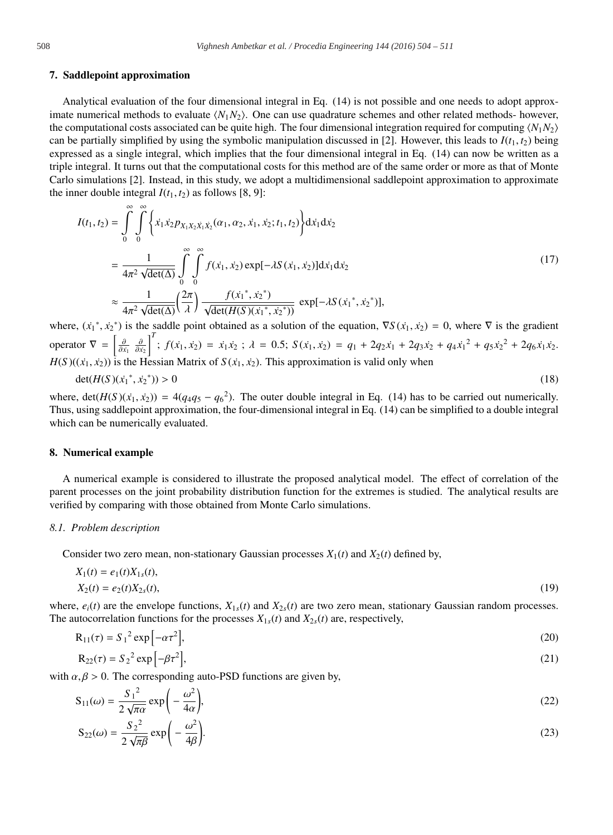#### 7. Saddlepoint approximation

Analytical evaluation of the four dimensional integral in Eq. (14) is not possible and one needs to adopt approximate numerical methods to evaluate  $\langle N_1 N_2 \rangle$ . One can use quadrature schemes and other related methods- however, the computational costs associated can be quite high. The four dimensional integration required for computing  $\langle N_1 N_2 \rangle$ can be partially simplified by using the symbolic manipulation discussed in [2]. However, this leads to  $I(t_1, t_2)$  being expressed as a single integral, which implies that the four dimensional integral in Eq. (14) can now be written as a triple integral. It turns out that the computational costs for this method are of the same order or more as that of Monte Carlo simulations [2]. Instead, in this study, we adopt a multidimensional saddlepoint approximation to approximate the inner double integral  $I(t_1, t_2)$  as follows [8, 9]:

$$
I(t_1, t_2) = \int_0^{\infty} \int_0^{\infty} \left\{ \dot{x}_1 \dot{x}_2 p_{X_1 X_2 \dot{X}_1 \dot{X}_2}(\alpha_1, \alpha_2, \dot{x}_1, \dot{x}_2; t_1, t_2) \right\} d\dot{x}_1 d\dot{x}_2
$$
  
\n
$$
= \frac{1}{4\pi^2 \sqrt{\det(\Delta)}} \int_0^{\infty} \int_0^{\infty} f(\dot{x}_1, \dot{x}_2) \exp[-\lambda S(\dot{x}_1, \dot{x}_2)] d\dot{x}_1 d\dot{x}_2
$$
  
\n
$$
\approx \frac{1}{4\pi^2 \sqrt{\det(\Delta)}} \left( \frac{2\pi}{\lambda} \right) \frac{f(\dot{x}_1^*, \dot{x}_2^*)}{\sqrt{\det(H(S)(\dot{x}_1^*, \dot{x}_2^*))}} \exp[-\lambda S(\dot{x}_1^*, \dot{x}_2^*)],
$$
\n(17)

where,  $(\dot{x}_1^*, \dot{x}_2^*)$  is the saddle point obtained as a solution of the equation,  $\nabla S(\dot{x}_1, \dot{x}_2) = 0$ , where  $\nabla$  is the gradient operator  $\nabla = \left[\frac{\partial}{\partial x_1} \frac{\partial}{\partial x_2}\right]^T$ ;  $f(x_1, x_2) = x_1 x_2$ ;  $\lambda = 0.5$ ;  $S(x_1, x_2) = q_1 + 2q_2x_1 + 2q_3x_2 + q_4x_1^2 + q_5x_2^2 + 2q_6x_1x_2$ .  $H(S)((\dot{x}_1, \dot{x}_2))$  is the Hessian Matrix of  $S(\dot{x}_1, \dot{x}_2)$ . This approximation is valid only when

$$
\det(H(S)(\dot{x}_1^*, \dot{x}_2^*)) > 0\tag{18}
$$

where,  $\det(H(S)(\dot{x}_1, \dot{x}_2)) = 4(q_4q_5 - q_6^2)$ . The outer double integral in Eq. (14) has to be carried out numerically. Thus, using saddlepoint approximation, the four-dimensional integral in Eq. (14) can be simplified to a double integral which can be numerically evaluated.

## 8. Numerical example

A numerical example is considered to illustrate the proposed analytical model. The effect of correlation of the parent processes on the joint probability distribution function for the extremes is studied. The analytical results are verified by comparing with those obtained from Monte Carlo simulations.

#### *8.1. Problem description*

Consider two zero mean, non-stationary Gaussian processes  $X_1(t)$  and  $X_2(t)$  defined by,

$$
X_1(t) = e_1(t)X_{1s}(t),
$$
  
\n
$$
X_2(t) = e_2(t)X_{2s}(t),
$$
\n(19)

where,  $e_i(t)$  are the envelope functions,  $X_{1s}(t)$  and  $X_{2s}(t)$  are two zero mean, stationary Gaussian random processes. The autocorrelation functions for the processes  $X_{1s}(t)$  and  $X_{2s}(t)$  are, respectively,

$$
R_{11}(\tau) = S_1^2 \exp\left[-\alpha \tau^2\right],
$$
  
\n
$$
R_{22}(\tau) = S_2^2 \exp\left[-\beta \tau^2\right],
$$
\n(20)

with  $\alpha, \beta > 0$ . The corresponding auto-PSD functions are given by,

$$
S_{11}(\omega) = \frac{S_1^2}{2\sqrt{\pi\alpha}} \exp\left(-\frac{\omega^2}{4\alpha}\right),\tag{22}
$$

$$
S_{22}(\omega) = \frac{S_2^2}{2\sqrt{\pi\beta}} \exp\left(-\frac{\omega^2}{4\beta}\right).
$$
 (23)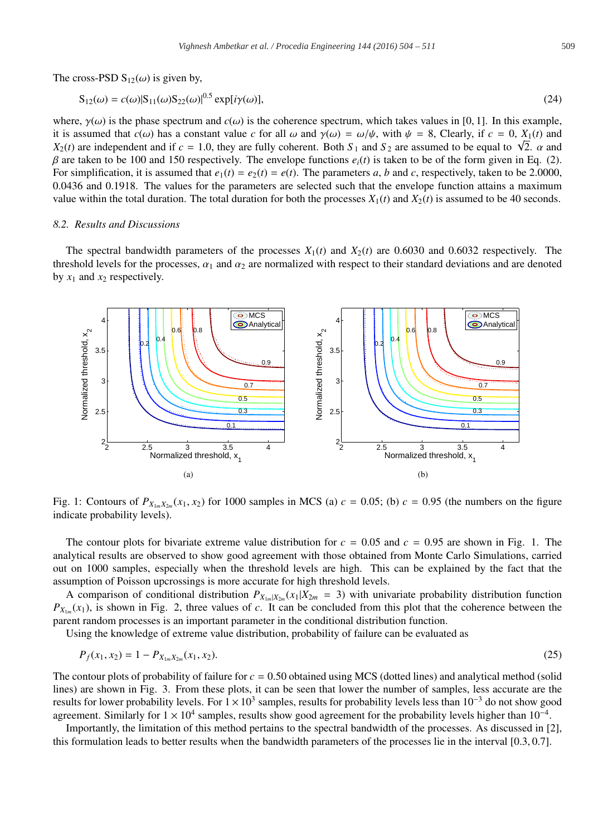The cross-PSD  $S_{12}(\omega)$  is given by,

$$
S_{12}(\omega) = c(\omega)|S_{11}(\omega)S_{22}(\omega)|^{0.5} \exp[i\gamma(\omega)],
$$
\n(24)

where,  $\gamma(\omega)$  is the phase spectrum and  $c(\omega)$  is the coherence spectrum, which takes values in [0, 1]. In this example, it is assumed that  $c(\omega)$  has a constant value *c* for all  $\omega$  and  $\gamma(\omega) = \omega/\psi$ , with  $\psi = 8$ , Clearly, if  $c = 0$ ,  $X_1(t)$  and  $X_2(t)$  are independent and if  $c = 1.0$ , they are fully coherent. Both  $S_1$  and  $S_2$  are assumed to be equal to  $\sqrt{2}$ .  $\alpha$  and  $\sqrt{2}$ .  $β$  are taken to be 100 and 150 respectively. The envelope functions  $e_i(t)$  is taken to be of the form given in Eq. (2). For simplification, it is assumed that  $e_1(t) = e_2(t) = e(t)$ . The parameters *a*, *b* and *c*, respectively, taken to be 2.0000, 0.0436 and 0.1918. The values for the parameters are selected such that the envelope function attains a maximum value within the total duration. The total duration for both the processes  $X_1(t)$  and  $X_2(t)$  is assumed to be 40 seconds.

## *8.2. Results and Discussions*

The spectral bandwidth parameters of the processes  $X_1(t)$  and  $X_2(t)$  are 0.6030 and 0.6032 respectively. The threshold levels for the processes,  $\alpha_1$  and  $\alpha_2$  are normalized with respect to their standard deviations and are denoted by  $x_1$  and  $x_2$  respectively.



Fig. 1: Contours of  $P_{X_1\ldots X_2\ldots}(x_1, x_2)$  for 1000 samples in MCS (a)  $c = 0.05$ ; (b)  $c = 0.95$  (the numbers on the figure indicate probability levels).

The contour plots for bivariate extreme value distribution for  $c = 0.05$  and  $c = 0.95$  are shown in Fig. 1. The analytical results are observed to show good agreement with those obtained from Monte Carlo Simulations, carried out on 1000 samples, especially when the threshold levels are high. This can be explained by the fact that the assumption of Poisson upcrossings is more accurate for high threshold levels.

A comparison of conditional distribution  $P_{X_{1m}|X_{2m}}(x_1|X_{2m} = 3)$  with univariate probability distribution function  $P_{X_{1m}}(x_1)$ , is shown in Fig. 2, three values of *c*. It can be concluded from this plot that the coherence between the parent random processes is an important parameter in the conditional distribution function.

Using the knowledge of extreme value distribution, probability of failure can be evaluated as

$$
P_f(x_1, x_2) = 1 - P_{X_{1m}X_{2m}}(x_1, x_2). \tag{25}
$$

The contour plots of probability of failure for  $c = 0.50$  obtained using MCS (dotted lines) and analytical method (solid lines) are shown in Fig. 3. From these plots, it can be seen that lower the number of samples, less accurate are the results for lower probability levels. For  $1\times10^3$  samples, results for probability levels less than  $10^{-3}$  do not show good agreement. Similarly for  $1 \times 10^4$  samples, results show good agreement for the probability levels higher than  $10^{-4}$ .

Importantly, the limitation of this method pertains to the spectral bandwidth of the processes. As discussed in [2], this formulation leads to better results when the bandwidth parameters of the processes lie in the interval [0.3, 0.7].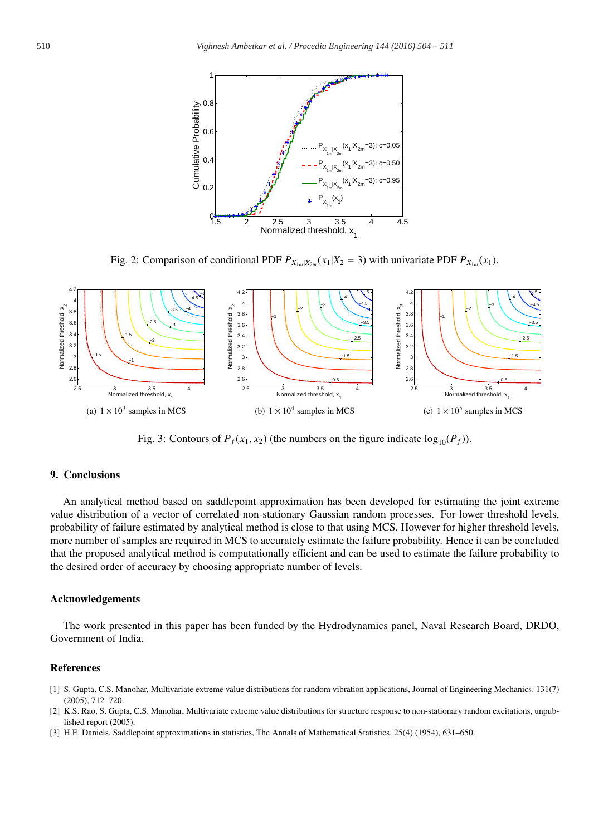

Fig. 2: Comparison of conditional PDF  $P_{X_{1m}|X_{2m}}(x_1|X_2 = 3)$  with univariate PDF  $P_{X_{1m}}(x_1)$ .



Fig. 3: Contours of  $P_f(x_1, x_2)$  (the numbers on the figure indicate  $log_{10}(P_f)$ ).

# 9. Conclusions

An analytical method based on saddlepoint approximation has been developed for estimating the joint extreme value distribution of a vector of correlated non-stationary Gaussian random processes. For lower threshold levels, probability of failure estimated by analytical method is close to that using MCS. However for higher threshold levels, more number of samples are required in MCS to accurately estimate the failure probability. Hence it can be concluded that the proposed analytical method is computationally efficient and can be used to estimate the failure probability to the desired order of accuracy by choosing appropriate number of levels.

#### Acknowledgements

The work presented in this paper has been funded by the Hydrodynamics panel, Naval Research Board, DRDO, Government of India.

## References

- [1] S. Gupta, C.S. Manohar, Multivariate extreme value distributions for random vibration applications, Journal of Engineering Mechanics. 131(7) (2005), 712–720.
- [2] K.S. Rao, S. Gupta, C.S. Manohar, Multivariate extreme value distributions for structure response to non-stationary random excitations, unpublished report (2005).
- [3] H.E. Daniels, Saddlepoint approximations in statistics, The Annals of Mathematical Statistics. 25(4) (1954), 631–650.